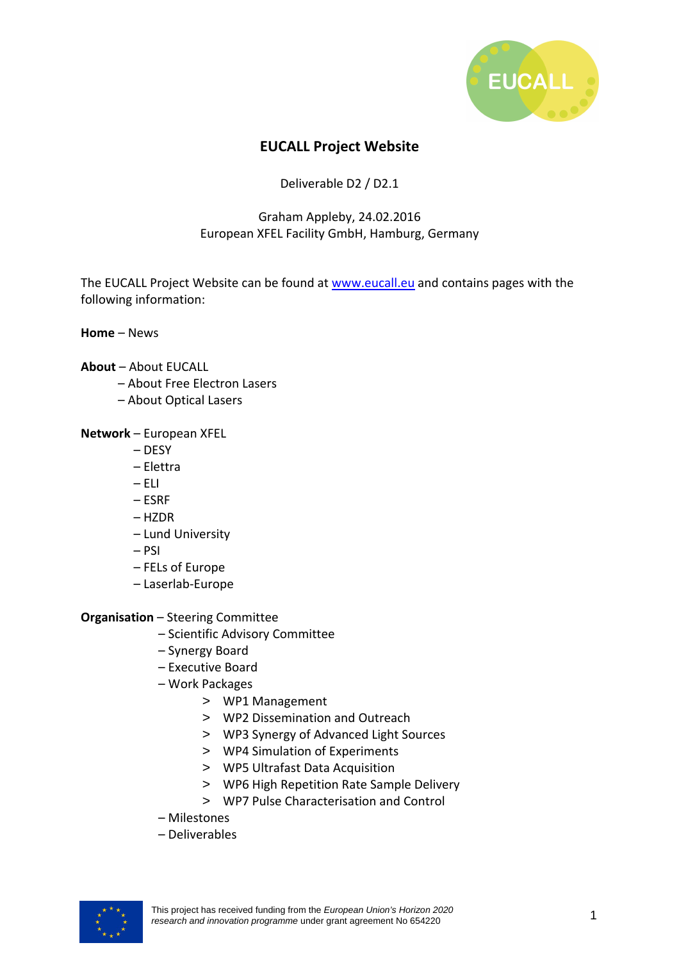

## **EUCALL Project Website**

Deliverable D2 / D2.1

## Graham Appleby, 24.02.2016 European XFEL Facility GmbH, Hamburg, Germany

The EUCALL Project Website can be found at www.eucall.eu and contains pages with the following information:

**Home** – News

## **About** – About EUCALL

- About Free Electron Lasers
- About Optical Lasers

**Network** – European XFEL

- DESY
- Elettra
- $-$  FLI
- ESRF
- HZDR
- Lund University
- PSI
- FELs of Europe
- Laserlab-Europe

**Organisation** – Steering Committee

- Scientific Advisory Committee
- Synergy Board
- Executive Board
- Work Packages
	- > WP1 Management
	- > WP2 Dissemination and Outreach
	- > WP3 Synergy of Advanced Light Sources
	- > WP4 Simulation of Experiments
	- > WP5 Ultrafast Data Acquisition
	- > WP6 High Repetition Rate Sample Delivery
	- > WP7 Pulse Characterisation and Control
- Milestones
- Deliverables